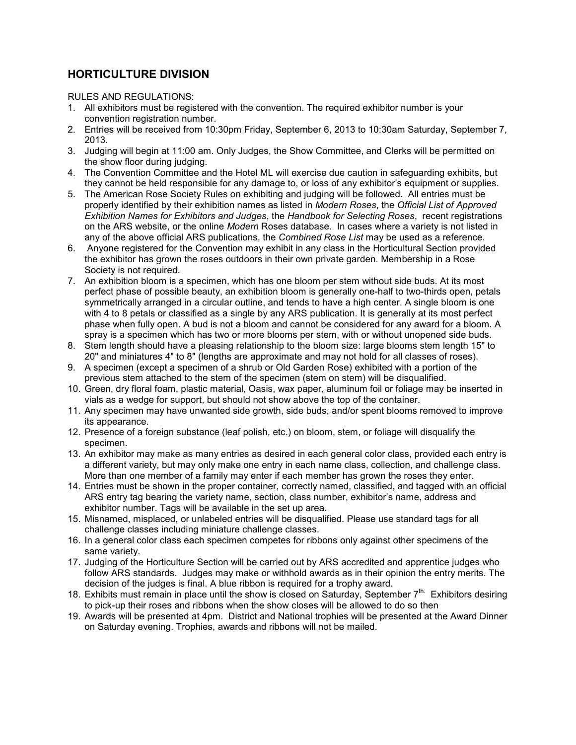# **HORTICULTURE DIVISION**

RULES AND REGULATIONS:

- 1. All exhibitors must be registered with the convention. The required exhibitor number is your convention registration number.
- 2. Entries will be received from 10:30pm Friday, September 6, 2013 to 10:30am Saturday, September 7, 2013.
- 3. Judging will begin at 11:00 am. Only Judges, the Show Committee, and Clerks will be permitted on the show floor during judging.
- 4. The Convention Committee and the Hotel ML will exercise due caution in safeguarding exhibits, but they cannot be held responsible for any damage to, or loss of any exhibitor's equipment or supplies.
- 5. The American Rose Society Rules on exhibiting and judging will be followed. All entries must be properly identified by their exhibition names as listed in *Modern Roses*, the *Official List of Approved Exhibition Names for Exhibitors and Judges*, the *Handbook for Selecting Roses*, recent registrations on the ARS website, or the online *Modern* Roses database. In cases where a variety is not listed in any of the above official ARS publications, the *Combined Rose List* may be used as a reference.
- 6. Anyone registered for the Convention may exhibit in any class in the Horticultural Section provided the exhibitor has grown the roses outdoors in their own private garden. Membership in a Rose Society is not required.
- 7. An exhibition bloom is a specimen, which has one bloom per stem without side buds. At its most perfect phase of possible beauty, an exhibition bloom is generally one-half to two-thirds open, petals symmetrically arranged in a circular outline, and tends to have a high center. A single bloom is one with 4 to 8 petals or classified as a single by any ARS publication. It is generally at its most perfect phase when fully open. A bud is not a bloom and cannot be considered for any award for a bloom. A spray is a specimen which has two or more blooms per stem, with or without unopened side buds.
- 8. Stem length should have a pleasing relationship to the bloom size: large blooms stem length 15" to 20" and miniatures 4" to 8" (lengths are approximate and may not hold for all classes of roses).
- 9. A specimen (except a specimen of a shrub or Old Garden Rose) exhibited with a portion of the previous stem attached to the stem of the specimen (stem on stem) will be disqualified.
- 10. Green, dry floral foam, plastic material, Oasis, wax paper, aluminum foil or foliage may be inserted in vials as a wedge for support, but should not show above the top of the container.
- 11. Any specimen may have unwanted side growth, side buds, and/or spent blooms removed to improve its appearance.
- 12. Presence of a foreign substance (leaf polish, etc.) on bloom, stem, or foliage will disqualify the specimen.
- 13. An exhibitor may make as many entries as desired in each general color class, provided each entry is a different variety, but may only make one entry in each name class, collection, and challenge class. More than one member of a family may enter if each member has grown the roses they enter.
- 14. Entries must be shown in the proper container, correctly named, classified, and tagged with an official ARS entry tag bearing the variety name, section, class number, exhibitor's name, address and exhibitor number. Tags will be available in the set up area.
- 15. Misnamed, misplaced, or unlabeled entries will be disqualified. Please use standard tags for all challenge classes including miniature challenge classes.
- 16. In a general color class each specimen competes for ribbons only against other specimens of the same variety.
- 17. Judging of the Horticulture Section will be carried out by ARS accredited and apprentice judges who follow ARS standards. Judges may make or withhold awards as in their opinion the entry merits. The decision of the judges is final. A blue ribbon is required for a trophy award.
- 18. Exhibits must remain in place until the show is closed on Saturday, September  $7^{th}$ . Exhibitors desiring to pick-up their roses and ribbons when the show closes will be allowed to do so then
- 19. Awards will be presented at 4pm. District and National trophies will be presented at the Award Dinner on Saturday evening. Trophies, awards and ribbons will not be mailed.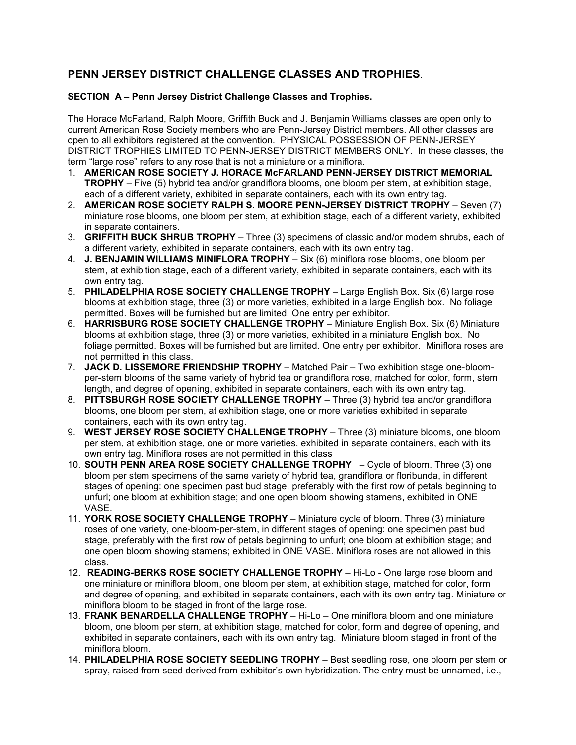# **PENN JERSEY DISTRICT CHALLENGE CLASSES AND TROPHIES**.

### **SECTION A – Penn Jersey District Challenge Classes and Trophies.**

The Horace McFarland, Ralph Moore, Griffith Buck and J. Benjamin Williams classes are open only to current American Rose Society members who are Penn-Jersey District members. All other classes are open to all exhibitors registered at the convention. PHYSICAL POSSESSION OF PENN-JERSEY DISTRICT TROPHIES LIMITED TO PENN-JERSEY DISTRICT MEMBERS ONLY. In these classes, the term "large rose" refers to any rose that is not a miniature or a miniflora.

- 1. **AMERICAN ROSE SOCIETY J. HORACE McFARLAND PENN-JERSEY DISTRICT MEMORIAL TROPHY** – Five (5) hybrid tea and/or grandiflora blooms, one bloom per stem, at exhibition stage, each of a different variety, exhibited in separate containers, each with its own entry tag.
- 2. **AMERICAN ROSE SOCIETY RALPH S. MOORE PENN-JERSEY DISTRICT TROPHY** Seven (7) miniature rose blooms, one bloom per stem, at exhibition stage, each of a different variety, exhibited in separate containers.
- 3. **GRIFFITH BUCK SHRUB TROPHY** Three (3) specimens of classic and/or modern shrubs, each of a different variety, exhibited in separate containers, each with its own entry tag.
- 4. **J. BENJAMIN WILLIAMS MINIFLORA TROPHY** Six (6) miniflora rose blooms, one bloom per stem, at exhibition stage, each of a different variety, exhibited in separate containers, each with its own entry tag.
- 5. **PHILADELPHIA ROSE SOCIETY CHALLENGE TROPHY** Large English Box. Six (6) large rose blooms at exhibition stage, three (3) or more varieties, exhibited in a large English box. No foliage permitted. Boxes will be furnished but are limited. One entry per exhibitor.
- 6. **HARRISBURG ROSE SOCIETY CHALLENGE TROPHY** Miniature English Box. Six (6) Miniature blooms at exhibition stage, three (3) or more varieties, exhibited in a miniature English box. No foliage permitted. Boxes will be furnished but are limited. One entry per exhibitor. Miniflora roses are not permitted in this class.
- 7. **JACK D. LISSEMORE FRIENDSHIP TROPHY** Matched Pair Two exhibition stage one-bloomper-stem blooms of the same variety of hybrid tea or grandiflora rose, matched for color, form, stem length, and degree of opening, exhibited in separate containers, each with its own entry tag.
- 8. **PITTSBURGH ROSE SOCIETY CHALLENGE TROPHY** Three (3) hybrid tea and/or grandiflora blooms, one bloom per stem, at exhibition stage, one or more varieties exhibited in separate containers, each with its own entry tag.
- 9. **WEST JERSEY ROSE SOCIETY CHALLENGE TROPHY** Three (3) miniature blooms, one bloom per stem, at exhibition stage, one or more varieties, exhibited in separate containers, each with its own entry tag. Miniflora roses are not permitted in this class
- 10. **SOUTH PENN AREA ROSE SOCIETY CHALLENGE TROPHY**  Cycle of bloom. Three (3) one bloom per stem specimens of the same variety of hybrid tea, grandiflora or floribunda, in different stages of opening: one specimen past bud stage, preferably with the first row of petals beginning to unfurl; one bloom at exhibition stage; and one open bloom showing stamens, exhibited in ONE VASE.
- 11. **YORK ROSE SOCIETY CHALLENGE TROPHY** Miniature cycle of bloom. Three (3) miniature roses of one variety, one-bloom-per-stem, in different stages of opening: one specimen past bud stage, preferably with the first row of petals beginning to unfurl; one bloom at exhibition stage; and one open bloom showing stamens; exhibited in ONE VASE. Miniflora roses are not allowed in this class.
- 12. **READING-BERKS ROSE SOCIETY CHALLENGE TROPHY** Hi-Lo One large rose bloom and one miniature or miniflora bloom, one bloom per stem, at exhibition stage, matched for color, form and degree of opening, and exhibited in separate containers, each with its own entry tag. Miniature or miniflora bloom to be staged in front of the large rose.
- 13. **FRANK BENARDELLA CHALLENGE TROPHY** Hi-Lo One miniflora bloom and one miniature bloom, one bloom per stem, at exhibition stage, matched for color, form and degree of opening, and exhibited in separate containers, each with its own entry tag. Miniature bloom staged in front of the miniflora bloom.
- 14. **PHILADELPHIA ROSE SOCIETY SEEDLING TROPHY** Best seedling rose, one bloom per stem or spray, raised from seed derived from exhibitor's own hybridization. The entry must be unnamed, i.e.,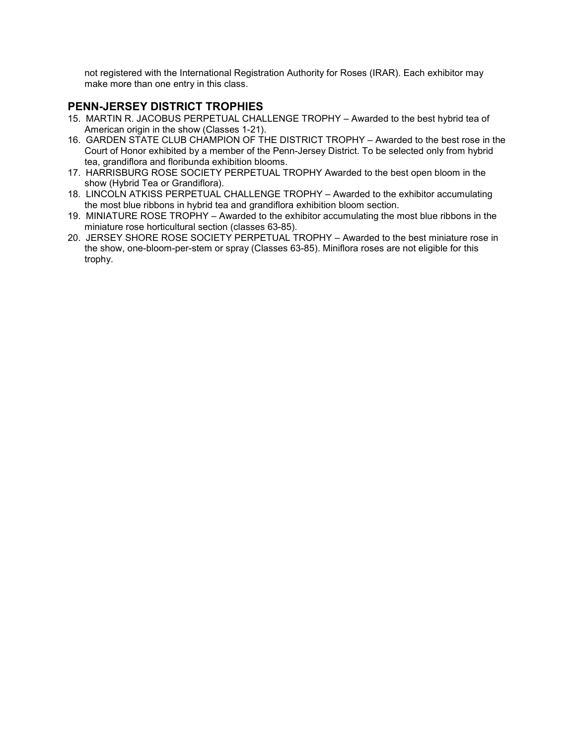not registered with the International Registration Authority for Roses (IRAR). Each exhibitor may make more than one entry in this class.

## **PENN-JERSEY DISTRICT TROPHIES**

- 15. MARTIN R. JACOBUS PERPETUAL CHALLENGE TROPHY Awarded to the best hybrid tea of American origin in the show (Classes 1-21).
- 16. GARDEN STATE CLUB CHAMPION OF THE DISTRICT TROPHY Awarded to the best rose in the Court of Honor exhibited by a member of the Penn-Jersey District. To be selected only from hybrid tea, grandiflora and floribunda exhibition blooms.
- 17. HARRISBURG ROSE SOCIETY PERPETUAL TROPHY Awarded to the best open bloom in the show (Hybrid Tea or Grandiflora).
- 18. LINCOLN ATKISS PERPETUAL CHALLENGE TROPHY Awarded to the exhibitor accumulating the most blue ribbons in hybrid tea and grandiflora exhibition bloom section.
- 19. MINIATURE ROSE TROPHY Awarded to the exhibitor accumulating the most blue ribbons in the miniature rose horticultural section (classes 63-85).
- 20. JERSEY SHORE ROSE SOCIETY PERPETUAL TROPHY Awarded to the best miniature rose in the show, one-bloom-per-stem or spray (Classes 63-85). Miniflora roses are not eligible for this trophy.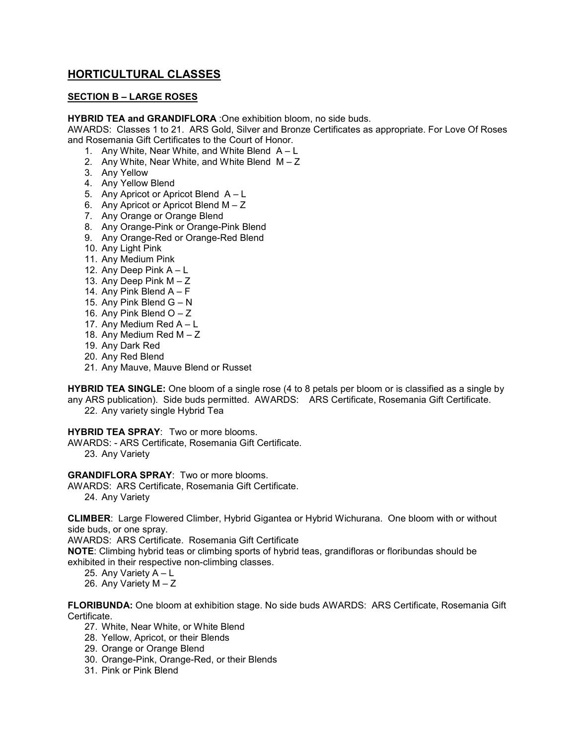## **HORTICULTURAL CLASSES**

### **SECTION B – LARGE ROSES**

**HYBRID TEA and GRANDIFLORA** :One exhibition bloom, no side buds.

AWARDS: Classes 1 to 21. ARS Gold, Silver and Bronze Certificates as appropriate. For Love Of Roses and Rosemania Gift Certificates to the Court of Honor.

- 1. Any White, Near White, and White Blend  $A L$
- 2. Any White, Near White, and White Blend  $M Z$
- 3. Any Yellow
- 4. Any Yellow Blend
- 5. Any Apricot or Apricot Blend A L
- 6. Any Apricot or Apricot Blend M Z
- 7. Any Orange or Orange Blend
- 8. Any Orange-Pink or Orange-Pink Blend
- 9. Any Orange-Red or Orange-Red Blend
- 10. Any Light Pink
- 11. Any Medium Pink
- 12. Any Deep Pink A L
- 13. Any Deep Pink M Z
- 14. Any Pink Blend  $A F$
- 15. Any Pink Blend  $G N$
- 16. Any Pink Blend  $O Z$
- 17. Any Medium Red A L
- 18. Any Medium Red M Z
- 19. Any Dark Red
- 20. Any Red Blend
- 21. Any Mauve, Mauve Blend or Russet

**HYBRID TEA SINGLE:** One bloom of a single rose (4 to 8 petals per bloom or is classified as a single by any ARS publication). Side buds permitted. AWARDS: ARS Certificate, Rosemania Gift Certificate.

22. Any variety single Hybrid Tea

### **HYBRID TEA SPRAY**: Two or more blooms.

AWARDS: - ARS Certificate, Rosemania Gift Certificate.

23. Any Variety

**GRANDIFLORA SPRAY**: Two or more blooms.

AWARDS: ARS Certificate, Rosemania Gift Certificate. 24. Any Variety

**CLIMBER**: Large Flowered Climber, Hybrid Gigantea or Hybrid Wichurana. One bloom with or without side buds, or one spray.

AWARDS: ARS Certificate. Rosemania Gift Certificate

**NOTE**: Climbing hybrid teas or climbing sports of hybrid teas, grandifloras or floribundas should be exhibited in their respective non-climbing classes.

25. Any Variety A – L

26. Any Variety M – Z

**FLORIBUNDA:** One bloom at exhibition stage. No side buds AWARDS: ARS Certificate, Rosemania Gift Certificate.

- 27. White, Near White, or White Blend
- 28. Yellow, Apricot, or their Blends
- 29. Orange or Orange Blend
- 30. Orange-Pink, Orange-Red, or their Blends
- 31. Pink or Pink Blend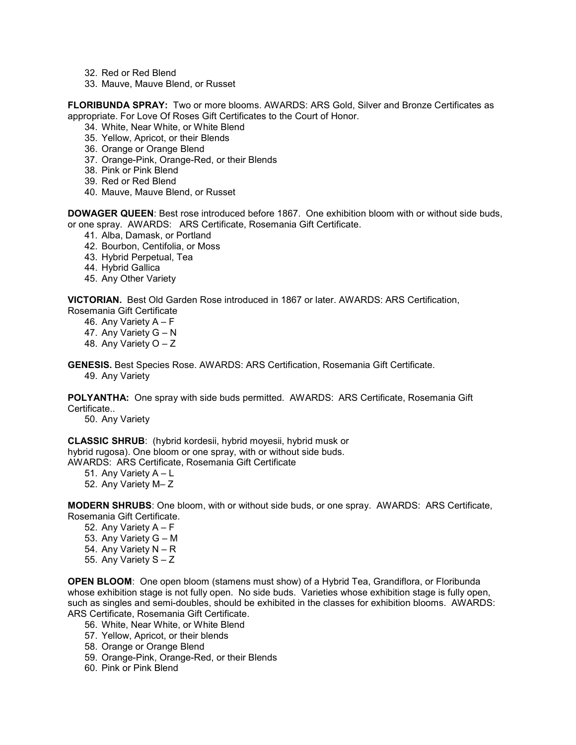- 32. Red or Red Blend
- 33. Mauve, Mauve Blend, or Russet

**FLORIBUNDA SPRAY:** Two or more blooms. AWARDS: ARS Gold, Silver and Bronze Certificates as appropriate. For Love Of Roses Gift Certificates to the Court of Honor.

- 34. White, Near White, or White Blend
- 35. Yellow, Apricot, or their Blends
- 36. Orange or Orange Blend
- 37. Orange-Pink, Orange-Red, or their Blends
- 38. Pink or Pink Blend
- 39. Red or Red Blend
- 40. Mauve, Mauve Blend, or Russet

**DOWAGER QUEEN**: Best rose introduced before 1867. One exhibition bloom with or without side buds, or one spray. AWARDS: ARS Certificate, Rosemania Gift Certificate.

- 41. Alba, Damask, or Portland
- 42. Bourbon, Centifolia, or Moss
- 43. Hybrid Perpetual, Tea
- 44. Hybrid Gallica
- 45. Any Other Variety

**VICTORIAN.** Best Old Garden Rose introduced in 1867 or later. AWARDS: ARS Certification, Rosemania Gift Certificate

- 46. Any Variety A F
- 47. Any Variety G N
- 48. Any Variety O Z

**GENESIS.** Best Species Rose. AWARDS: ARS Certification, Rosemania Gift Certificate. 49. Any Variety

**POLYANTHA:** One spray with side buds permitted. AWARDS: ARS Certificate, Rosemania Gift Certificate..

50. Any Variety

**CLASSIC SHRUB**: (hybrid kordesii, hybrid moyesii, hybrid musk or hybrid rugosa). One bloom or one spray, with or without side buds. AWARDS: ARS Certificate, Rosemania Gift Certificate

- 51. Any Variety A L
- 52. Any Variety M– Z

**MODERN SHRUBS**: One bloom, with or without side buds, or one spray. AWARDS: ARS Certificate, Rosemania Gift Certificate.

- 52. Any Variety A F
- 53. Any Variety G M
- 54. Any Variety N R
- 55. Any Variety S Z

**OPEN BLOOM**: One open bloom (stamens must show) of a Hybrid Tea, Grandiflora, or Floribunda whose exhibition stage is not fully open. No side buds. Varieties whose exhibition stage is fully open, such as singles and semi-doubles, should be exhibited in the classes for exhibition blooms. AWARDS: ARS Certificate, Rosemania Gift Certificate.

- 56. White, Near White, or White Blend
- 57. Yellow, Apricot, or their blends
- 58. Orange or Orange Blend
- 59. Orange-Pink, Orange-Red, or their Blends
- 60. Pink or Pink Blend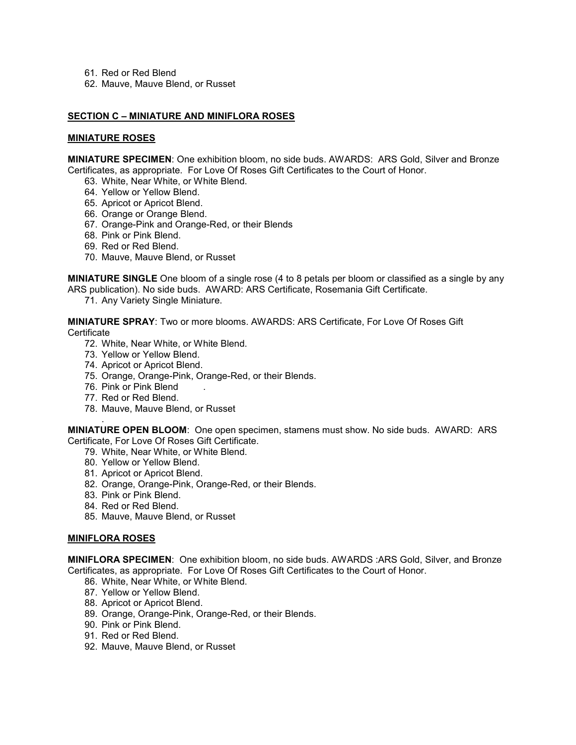- 61. Red or Red Blend
- 62. Mauve, Mauve Blend, or Russet

#### **SECTION C – MINIATURE AND MINIFLORA ROSES**

#### **MINIATURE ROSES**

**MINIATURE SPECIMEN**: One exhibition bloom, no side buds. AWARDS: ARS Gold, Silver and Bronze Certificates, as appropriate. For Love Of Roses Gift Certificates to the Court of Honor.

- 63. White, Near White, or White Blend.
- 64. Yellow or Yellow Blend.
- 65. Apricot or Apricot Blend.
- 66. Orange or Orange Blend.
- 67. Orange-Pink and Orange-Red, or their Blends
- 68. Pink or Pink Blend.
- 69. Red or Red Blend.
- 70. Mauve, Mauve Blend, or Russet

**MINIATURE SINGLE** One bloom of a single rose (4 to 8 petals per bloom or classified as a single by any ARS publication). No side buds. AWARD: ARS Certificate, Rosemania Gift Certificate.

71. Any Variety Single Miniature.

**MINIATURE SPRAY**: Two or more blooms. AWARDS: ARS Certificate, For Love Of Roses Gift **Certificate** 

- 72. White, Near White, or White Blend.
- 73. Yellow or Yellow Blend.
- 74. Apricot or Apricot Blend.
- 75. Orange, Orange-Pink, Orange-Red, or their Blends.
- 76. Pink or Pink Blend .
- 77. Red or Red Blend.
- 78. Mauve, Mauve Blend, or Russet

. **MINIATURE OPEN BLOOM**: One open specimen, stamens must show. No side buds. AWARD: ARS Certificate, For Love Of Roses Gift Certificate.

- 79. White, Near White, or White Blend.
- 80. Yellow or Yellow Blend.
- 81. Apricot or Apricot Blend.
- 82. Orange, Orange-Pink, Orange-Red, or their Blends.
- 83. Pink or Pink Blend.
- 84. Red or Red Blend.
- 85. Mauve, Mauve Blend, or Russet

#### **MINIFLORA ROSES**

**MINIFLORA SPECIMEN**: One exhibition bloom, no side buds. AWARDS :ARS Gold, Silver, and Bronze Certificates, as appropriate. For Love Of Roses Gift Certificates to the Court of Honor.

- 86. White, Near White, or White Blend.
- 87. Yellow or Yellow Blend.
- 88. Apricot or Apricot Blend.
- 89. Orange, Orange-Pink, Orange-Red, or their Blends.
- 90. Pink or Pink Blend.
- 91. Red or Red Blend.
- 92. Mauve, Mauve Blend, or Russet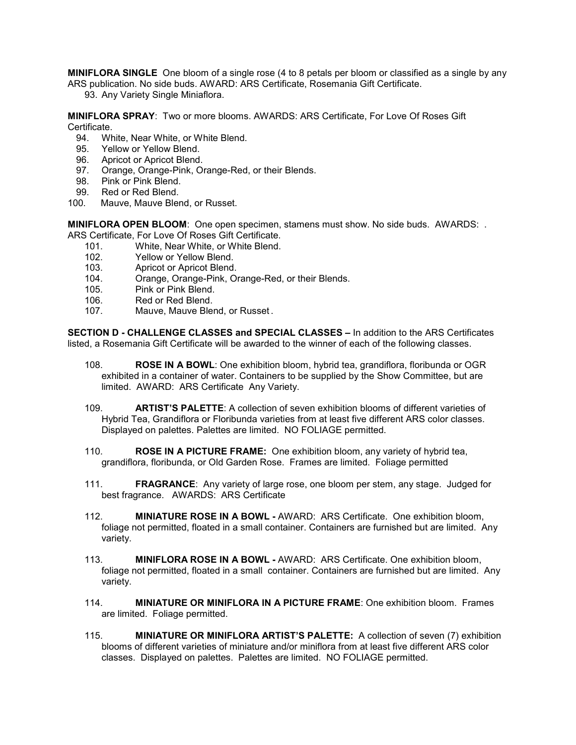**MINIFLORA SINGLE** One bloom of a single rose (4 to 8 petals per bloom or classified as a single by any ARS publication. No side buds. AWARD: ARS Certificate, Rosemania Gift Certificate.

93. Any Variety Single Miniaflora.

**MINIFLORA SPRAY**: Two or more blooms. AWARDS: ARS Certificate, For Love Of Roses Gift Certificate.

- 94. White, Near White, or White Blend.
- 95. Yellow or Yellow Blend.
- 96. Apricot or Apricot Blend.
- 97. Orange, Orange-Pink, Orange-Red, or their Blends.
- 98. Pink or Pink Blend.
- 99. Red or Red Blend.<br>100. Mauve. Mauve Bler
- Mauve, Mauve Blend, or Russet.

**MINIFLORA OPEN BLOOM**: One open specimen, stamens must show. No side buds. AWARDS: . ARS Certificate, For Love Of Roses Gift Certificate.

- 101. White, Near White, or White Blend.
- 102. Yellow or Yellow Blend.
- 103. Apricot or Apricot Blend.
- 104. Orange, Orange-Pink, Orange-Red, or their Blends.<br>105. Pink or Pink Blend.
- 105. Pink or Pink Blend.<br>106. Red or Red Blend.
- Red or Red Blend.
- 107. Mauve, Mauve Blend, or Russet .

**SECTION D - CHALLENGE CLASSES and SPECIAL CLASSES –** In addition to the ARS Certificates listed, a Rosemania Gift Certificate will be awarded to the winner of each of the following classes.

- 108. **ROSE IN A BOWL**: One exhibition bloom, hybrid tea, grandiflora, floribunda or OGR exhibited in a container of water. Containers to be supplied by the Show Committee, but are limited. AWARD: ARS Certificate Any Variety.
- 109. **ARTIST'S PALETTE**: A collection of seven exhibition blooms of different varieties of Hybrid Tea, Grandiflora or Floribunda varieties from at least five different ARS color classes. Displayed on palettes. Palettes are limited. NO FOLIAGE permitted.
- 110. **ROSE IN A PICTURE FRAME:** One exhibition bloom, any variety of hybrid tea, grandiflora, floribunda, or Old Garden Rose. Frames are limited. Foliage permitted
- 111. **FRAGRANCE**: Any variety of large rose, one bloom per stem, any stage. Judged for best fragrance. AWARDS: ARS Certificate
- 112. **MINIATURE ROSE IN A BOWL** AWARD: ARS Certificate. One exhibition bloom, foliage not permitted, floated in a small container. Containers are furnished but are limited. Any variety.
- 113. **MINIFLORA ROSE IN A BOWL** AWARD: ARS Certificate. One exhibition bloom, foliage not permitted, floated in a small container. Containers are furnished but are limited. Any variety.
- 114. **MINIATURE OR MINIFLORA IN A PICTURE FRAME**: One exhibition bloom. Frames are limited. Foliage permitted.
- 115. **MINIATURE OR MINIFLORA ARTIST'S PALETTE:** A collection of seven (7) exhibition blooms of different varieties of miniature and/or miniflora from at least five different ARS color classes. Displayed on palettes. Palettes are limited. NO FOLIAGE permitted.